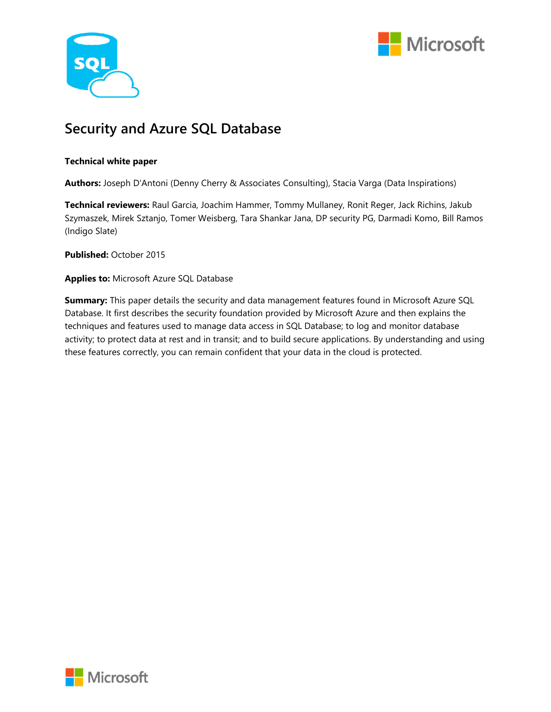



## **Security and Azure SQL Database**

#### **Technical white paper**

**Authors:** Joseph D'Antoni (Denny Cherry & Associates Consulting), Stacia Varga (Data Inspirations)

**Technical reviewers:** Raul Garcia, Joachim Hammer, Tommy Mullaney, Ronit Reger, Jack Richins, Jakub Szymaszek, Mirek Sztanjo, Tomer Weisberg, Tara Shankar Jana, DP security PG, Darmadi Komo, Bill Ramos (Indigo Slate)

**Published:** October 2015

**Applies to:** Microsoft Azure SQL Database

**Summary:** This paper details the security and data management features found in Microsoft Azure SQL Database. It first describes the security foundation provided by Microsoft Azure and then explains the techniques and features used to manage data access in SQL Database; to log and monitor database activity; to protect data at rest and in transit; and to build secure applications. By understanding and using these features correctly, you can remain confident that your data in the cloud is protected.

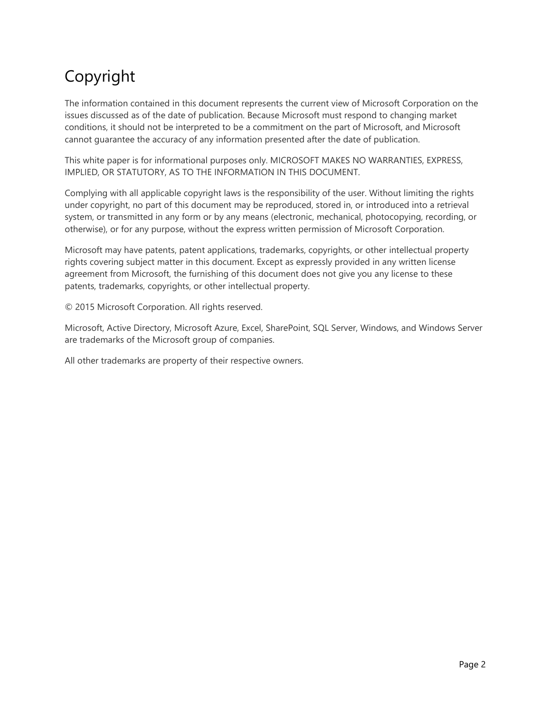# Copyright

The information contained in this document represents the current view of Microsoft Corporation on the issues discussed as of the date of publication. Because Microsoft must respond to changing market conditions, it should not be interpreted to be a commitment on the part of Microsoft, and Microsoft cannot guarantee the accuracy of any information presented after the date of publication.

This white paper is for informational purposes only. MICROSOFT MAKES NO WARRANTIES, EXPRESS, IMPLIED, OR STATUTORY, AS TO THE INFORMATION IN THIS DOCUMENT.

Complying with all applicable copyright laws is the responsibility of the user. Without limiting the rights under copyright, no part of this document may be reproduced, stored in, or introduced into a retrieval system, or transmitted in any form or by any means (electronic, mechanical, photocopying, recording, or otherwise), or for any purpose, without the express written permission of Microsoft Corporation.

Microsoft may have patents, patent applications, trademarks, copyrights, or other intellectual property rights covering subject matter in this document. Except as expressly provided in any written license agreement from Microsoft, the furnishing of this document does not give you any license to these patents, trademarks, copyrights, or other intellectual property.

© 2015 Microsoft Corporation. All rights reserved.

Microsoft, Active Directory, Microsoft Azure, Excel, SharePoint, SQL Server, Windows, and Windows Server are trademarks of the Microsoft group of companies.

All other trademarks are property of their respective owners.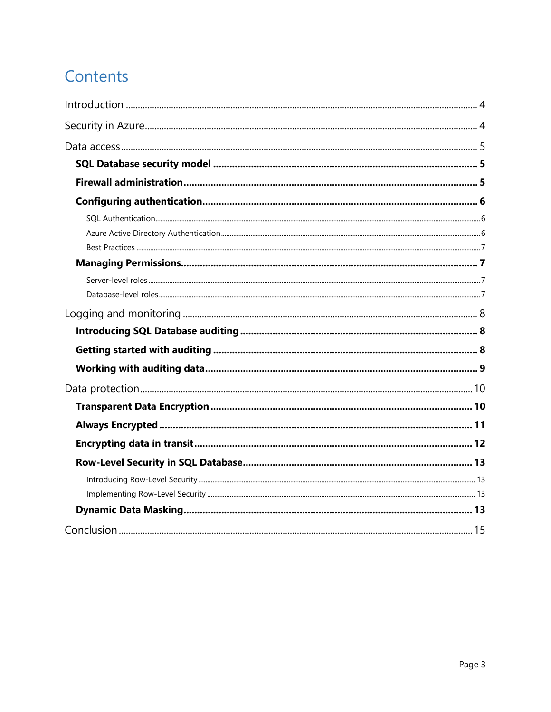# Contents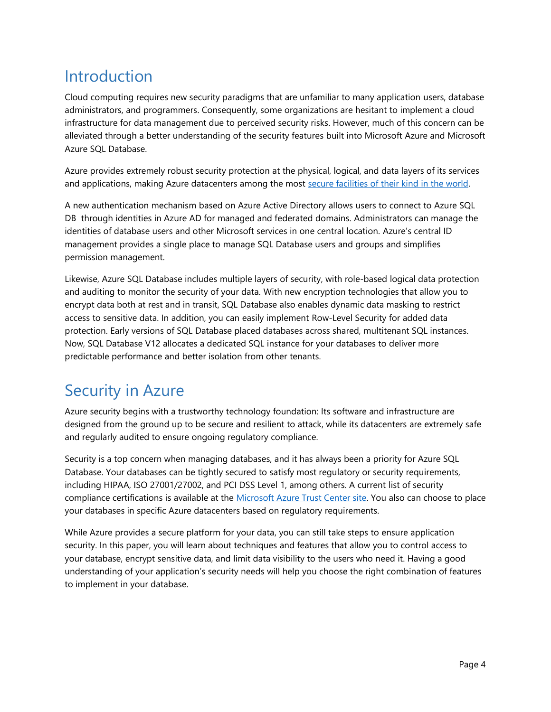# <span id="page-3-0"></span>Introduction

Cloud computing requires new security paradigms that are unfamiliar to many application users, database administrators, and programmers. Consequently, some organizations are hesitant to implement a cloud infrastructure for data management due to perceived security risks. However, much of this concern can be alleviated through a better understanding of the security features built into Microsoft Azure and Microsoft Azure SQL Database.

Azure provides extremely robust security protection at the physical, logical, and data layers of its services and applications, making Azure datacenters among the most [secure facilities of their kind in the world.](http://www.microsoft.com/en-us/server-cloud/cloud-os/global-datacenters.aspx#Fragment_Scenario3) 

A new authentication mechanism based on Azure Active Directory allows users to connect to Azure SQL DB through identities in Azure AD for managed and federated domains. Administrators can manage the identities of database users and other Microsoft services in one central location. Azure's central ID management provides a single place to manage SQL Database users and groups and simplifies permission management.

Likewise, Azure SQL Database includes multiple layers of security, with role-based logical data protection and auditing to monitor the security of your data. With new encryption technologies that allow you to encrypt data both at rest and in transit, SQL Database also enables dynamic data masking to restrict access to sensitive data. In addition, you can easily implement Row-Level Security for added data protection. Early versions of SQL Database placed databases across shared, multitenant SQL instances. Now, SQL Database V12 allocates a dedicated SQL instance for your databases to deliver more predictable performance and better isolation from other tenants.

## <span id="page-3-1"></span>Security in Azure

Azure security begins with a trustworthy technology foundation: Its software and infrastructure are designed from the ground up to be secure and resilient to attack, while its datacenters are extremely safe and regularly audited to ensure ongoing regulatory compliance.

Security is a top concern when managing databases, and it has always been a priority for Azure SQL Database. Your databases can be tightly secured to satisfy most regulatory or security requirements, including HIPAA, ISO 27001/27002, and PCI DSS Level 1, among others. A current list of security compliance certifications is available at the [Microsoft Azure Trust Center site.](http://azure.microsoft.com/en-us/support/trust-center/services/) You also can choose to place your databases in specific Azure datacenters based on regulatory requirements.

While Azure provides a secure platform for your data, you can still take steps to ensure application security. In this paper, you will learn about techniques and features that allow you to control access to your database, encrypt sensitive data, and limit data visibility to the users who need it. Having a good understanding of your application's security needs will help you choose the right combination of features to implement in your database.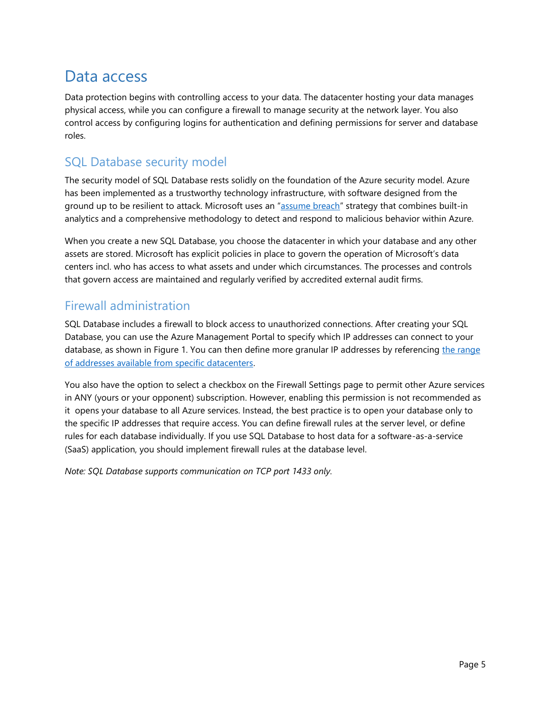## <span id="page-4-0"></span>Data access

Data protection begins with controlling access to your data. The datacenter hosting your data manages physical access, while you can configure a firewall to manage security at the network layer. You also control access by configuring logins for authentication and defining permissions for server and database roles.

## <span id="page-4-1"></span>SQL Database security model

The security model of SQL Database rests solidly on the foundation of the Azure security model. Azure has been implemented as a trustworthy technology infrastructure, with software designed from the ground up to be resilient to attack. Microsoft uses an "[assume breach](https://azure.microsoft.com/en-us/support/trust-center/security/design-and-operational-security/)" strategy that combines built-in analytics and a comprehensive methodology to detect and respond to malicious behavior within Azure.

When you create a new SQL Database, you choose the datacenter in which your database and any other assets are stored. Microsoft has explicit policies in place to govern the operation of Microsoft's data centers incl. who has access to what assets and under which circumstances. The processes and controls that govern access are maintained and regularly verified by accredited external audit firms.

### <span id="page-4-2"></span>Firewall administration

SQL Database includes a firewall to block access to unauthorized connections. After creating your SQL Database, you can use the Azure Management Portal to specify which IP addresses can connect to your database, as shown in Figure 1. You can then define more granular IP addresses by referencing the range [of addresses available from specific datacenters.](http://www.microsoft.com/en-us/download/details.aspx?id=41653)

You also have the option to select a checkbox on the Firewall Settings page to permit other Azure services in ANY (yours or your opponent) subscription. However, enabling this permission is not recommended as it opens your database to all Azure services. Instead, the best practice is to open your database only to the specific IP addresses that require access. You can define firewall rules at the server level, or define rules for each database individually. If you use SQL Database to host data for a software-as-a-service (SaaS) application, you should implement firewall rules at the database level.

*Note: SQL Database supports communication on TCP port 1433 only.*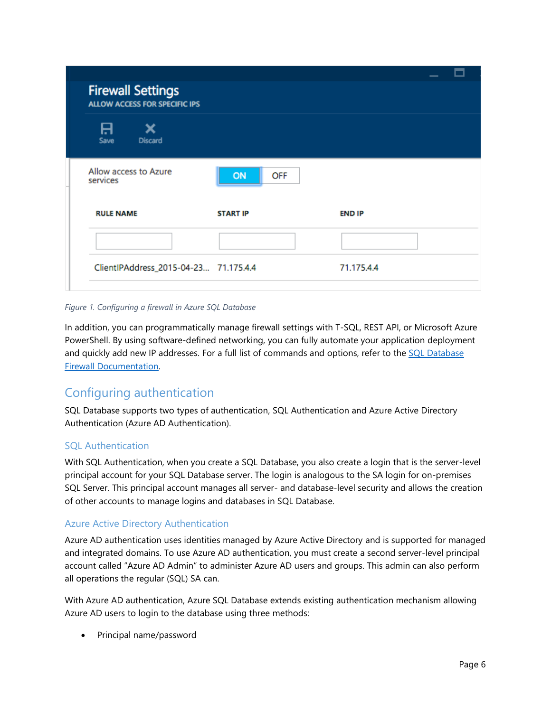| <b>Firewall Settings</b><br><b>ALLOW ACCESS FOR SPECIFIC IPS</b> |                 |               |  |
|------------------------------------------------------------------|-----------------|---------------|--|
| A<br>Save<br><b>Discard</b>                                      |                 |               |  |
| Allow access to Azure<br>services                                | OFF<br>ON       |               |  |
| <b>RULE NAME</b>                                                 | <b>START IP</b> | <b>END IP</b> |  |
|                                                                  |                 |               |  |
| ClientlPAddress_2015-04-23 71.175.4.4                            |                 | 71.175.4.4    |  |
|                                                                  |                 |               |  |

#### *Figure 1. Configuring a firewall in Azure SQL Database*

In addition, you can programmatically manage firewall settings with T-SQL, REST API, or Microsoft Azure PowerShell. By using software-defined networking, you can fully automate your application deployment and quickly add new IP addresses. For a full list of commands and options, refer to the [SQL Database](https://azure.microsoft.com/en-us/documentation/articles/sql-database-firewall-configure/) [Firewall Documentation.](https://azure.microsoft.com/en-us/documentation/articles/sql-database-firewall-configure/)

### <span id="page-5-0"></span>Configuring authentication

SQL Database supports two types of authentication, SQL Authentication and Azure Active Directory Authentication (Azure AD Authentication).

#### <span id="page-5-1"></span>SQL Authentication

With SQL Authentication, when you create a SQL Database, you also create a login that is the server-level principal account for your SQL Database server. The login is analogous to the SA login for on-premises SQL Server. This principal account manages all server- and database-level security and allows the creation of other accounts to manage logins and databases in SQL Database.

#### <span id="page-5-2"></span>Azure Active Directory Authentication

Azure AD authentication uses identities managed by Azure Active Directory and is supported for managed and integrated domains. To use Azure AD authentication, you must create a second server-level principal account called "Azure AD Admin" to administer Azure AD users and groups. This admin can also perform all operations the regular (SQL) SA can.

With Azure AD authentication, Azure SQL Database extends existing authentication mechanism allowing Azure AD users to login to the database using three methods:

• Principal name/password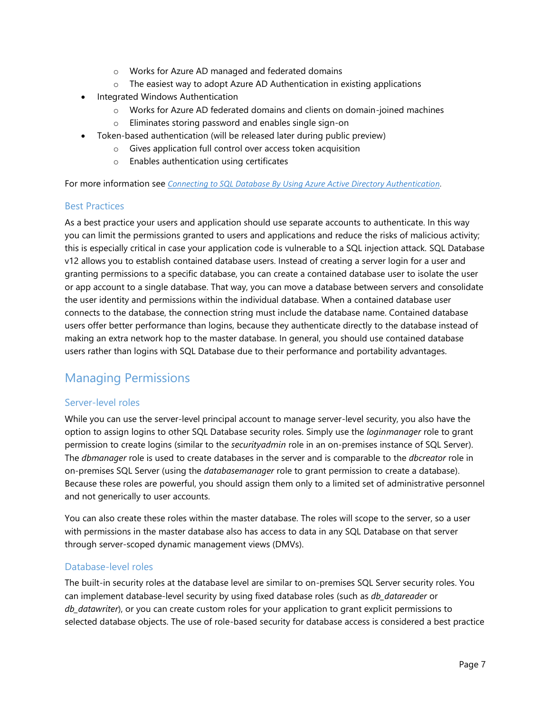- o Works for Azure AD managed and federated domains
- o The easiest way to adopt Azure AD Authentication in existing applications
- Integrated Windows Authentication
	- o Works for Azure AD federated domains and clients on domain-joined machines
	- o Eliminates storing password and enables single sign-on
- Token-based authentication (will be released later during public preview)
	- o Gives application full control over access token acquisition
	- o Enables authentication using certificates

For more information see *[Connecting to SQL Database By Using Azure Active Directory Authentication.](https://azure.microsoft.com/documentation/articles/sql-database-aad-authentication/)*

#### <span id="page-6-0"></span>Best Practices

As a best practice your users and application should use separate accounts to authenticate. In this way you can limit the permissions granted to users and applications and reduce the risks of malicious activity; this is especially critical in case your application code is vulnerable to a SQL injection attack. SQL Database v12 allows you to establish contained database users. Instead of creating a server login for a user and granting permissions to a specific database, you can create a contained database user to isolate the user or app account to a single database. That way, you can move a database between servers and consolidate the user identity and permissions within the individual database. When a contained database user connects to the database, the connection string must include the database name. Contained database users offer better performance than logins, because they authenticate directly to the database instead of making an extra network hop to the master database. In general, you should use contained database users rather than logins with SQL Database due to their performance and portability advantages.

## <span id="page-6-1"></span>Managing Permissions

#### <span id="page-6-2"></span>Server-level roles

While you can use the server-level principal account to manage server-level security, you also have the option to assign logins to other SQL Database security roles. Simply use the *loginmanager* role to grant permission to create logins (similar to the *securityadmin* role in an on-premises instance of SQL Server). The *dbmanager* role is used to create databases in the server and is comparable to the *dbcreator* role in on-premises SQL Server (using the *databasemanager* role to grant permission to create a database). Because these roles are powerful, you should assign them only to a limited set of administrative personnel and not generically to user accounts.

You can also create these roles within the master database. The roles will scope to the server, so a user with permissions in the master database also has access to data in any SQL Database on that server through server-scoped dynamic management views (DMVs).

#### <span id="page-6-3"></span>Database-level roles

The built-in security roles at the database level are similar to on-premises SQL Server security roles. You can implement database-level security by using fixed database roles (such as *db\_datareader* or *db\_datawriter*), or you can create custom roles for your application to grant explicit permissions to selected database objects. The use of role-based security for database access is considered a best practice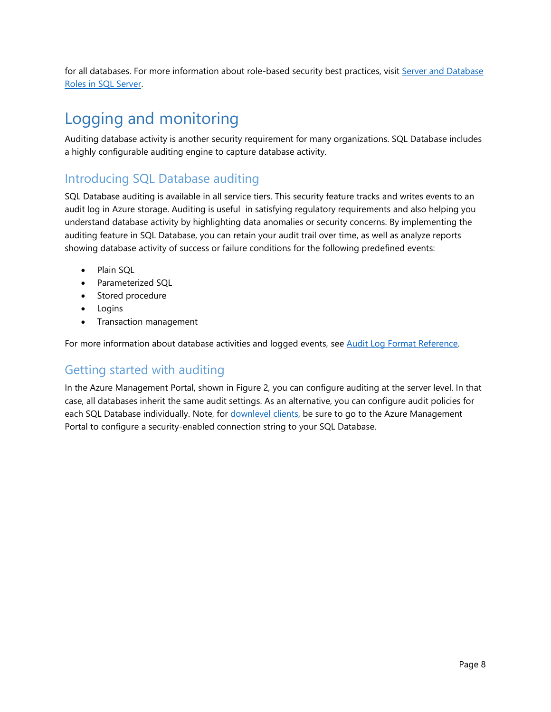for all databases. For more information about role-based security best practices, visi[t Server and Database](https://msdn.microsoft.com/en-us/library/bb669065(v=vs.110).aspx)  [Roles in SQL Server.](https://msdn.microsoft.com/en-us/library/bb669065(v=vs.110).aspx)

# <span id="page-7-0"></span>Logging and monitoring

Auditing database activity is another security requirement for many organizations. SQL Database includes a highly configurable auditing engine to capture database activity.

## <span id="page-7-1"></span>Introducing SQL Database auditing

SQL Database auditing is available in all service tiers. This security feature tracks and writes events to an audit log in Azure storage. Auditing is useful in satisfying regulatory requirements and also helping you understand database activity by highlighting data anomalies or security concerns. By implementing the auditing feature in SQL Database, you can retain your audit trail over time, as well as analyze reports showing database activity of success or failure conditions for the following predefined events:

- Plain SOL
- Parameterized SQL
- Stored procedure
- Logins
- Transaction management

For more information about database activities and logged events, see [Audit Log Format Reference.](http://go.microsoft.com/fwlink/?linkid=506733&clcid=0x409)

## <span id="page-7-2"></span>Getting started with auditing

In the Azure Management Portal, shown in Figure 2, you can configure auditing at the server level. In that case, all databases inherit the same audit settings. As an alternative, you can configure audit policies for each SQL Database individually. Note, for [downlevel clients,](https://azure.microsoft.com/en-us/documentation/articles/sql-database-auditing-and-dynamic-data-masking-downlevel-clients/) be sure to go to the Azure Management Portal to configure a security-enabled connection string to your SQL Database.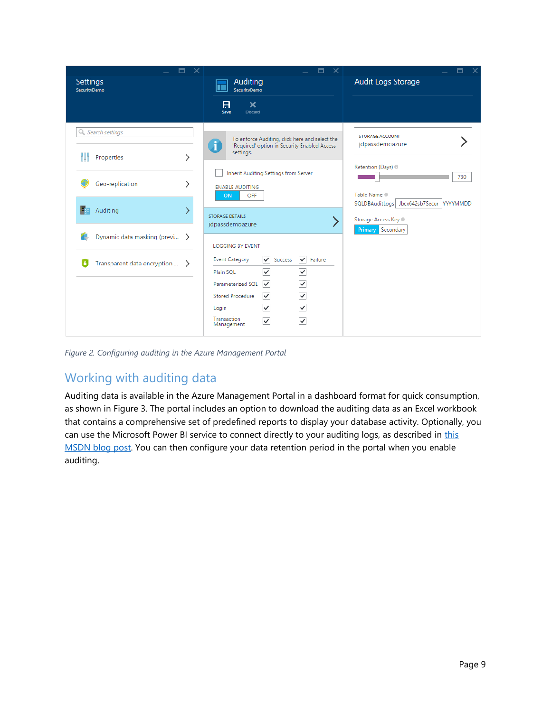

*Figure 2. Configuring auditing in the Azure Management Portal*

## <span id="page-8-0"></span>Working with auditing data

Auditing data is available in the Azure Management Portal in a dashboard format for quick consumption, as shown in Figure 3. The portal includes an option to download the auditing data as an Excel workbook that contains a comprehensive set of predefined reports to display your database activity. Optionally, you can use the Microsoft Power BI service to connect directly to your auditing logs, as described in this [MSDN blog](http://blogs.msdn.com/b/powerbi/archive/2015/05/14/monitor-your-azure-sql-database-auditing-activity-with-power-bi.aspx) post. You can then configure your data retention period in the portal when you enable auditing.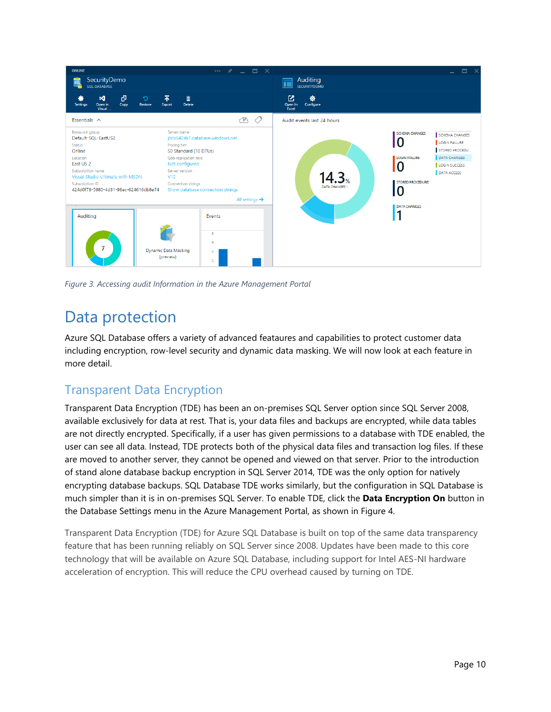

*Figure 3. Accessing audit Information in the Azure Management Portal*

## <span id="page-9-0"></span>Data protection

Azure SQL Database offers a variety of advanced feataures and capabilities to protect customer data including encryption, row-level security and dynamic data masking. We will now look at each feature in more detail.

## <span id="page-9-1"></span>Transparent Data Encryption

Transparent Data Encryption (TDE) has been an on-premises SQL Server option since SQL Server 2008, available exclusively for data at rest. That is, your data files and backups are encrypted, while data tables are not directly encrypted. Specifically, if a user has given permissions to a database with TDE enabled, the user can see all data. Instead, TDE protects both of the physical data files and transaction log files. If these are moved to another server, they cannot be opened and viewed on that server. Prior to the introduction of stand alone database backup encryption in SQL Server 2014, TDE was the only option for natively encrypting database backups. SQL Database TDE works similarly, but the configuration in SQL Database is much simpler than it is in on-premises SQL Server. To enable TDE, click the **Data Encryption On** button in the Database Settings menu in the Azure Management Portal, as shown in Figure 4.

Transparent Data Encryption (TDE) for Azure SQL Database is built on top of the same data transparency feature that has been running reliably on SQL Server since 2008. Updates have been made to this core technology that will be available on Azure SQL Database, including support for Intel AES-NI hardware acceleration of encryption. This will reduce the CPU overhead caused by turning on TDE.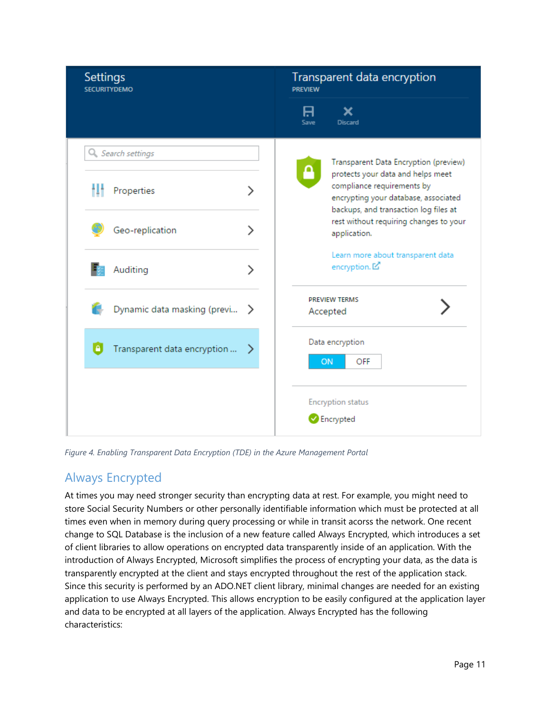| <b>Settings</b><br><b>SECURITYDEMO</b>          |   | Transparent data encryption<br><b>PREVIEW</b>                                                               |
|-------------------------------------------------|---|-------------------------------------------------------------------------------------------------------------|
|                                                 |   | 8<br>x<br><b>Discard</b><br>Save                                                                            |
| Q Search settings                               |   | Transparent Data Encryption (preview)<br>protects your data and helps meet                                  |
| Properties                                      | ゝ | compliance requirements by<br>encrypting your database, associated<br>backups, and transaction log files at |
| Geo-replication                                 | ゝ | rest without requiring changes to your<br>application.                                                      |
| Auditing                                        | ⋋ | Learn more about transparent data<br>encryption. <sup>[2]</sup>                                             |
| Dynamic data masking (previ >                   |   | <b>PREVIEW TERMS</b><br>Accepted                                                                            |
| $\triangleright$<br>Transparent data encryption |   | Data encryption<br>ON<br>OFF                                                                                |
|                                                 |   | <b>Encryption status</b><br><b>B</b> Encrypted                                                              |

*Figure 4. Enabling Transparent Data Encryption (TDE) in the Azure Management Portal*

## <span id="page-10-0"></span>Always Encrypted

At times you may need stronger security than encrypting data at rest. For example, you might need to store Social Security Numbers or other personally identifiable information which must be protected at all times even when in memory during query processing or while in transit acorss the network. One recent change to SQL Database is the inclusion of a new feature called Always Encrypted, which introduces a set of client libraries to allow operations on encrypted data transparently inside of an application. With the introduction of Always Encrypted, Microsoft simplifies the process of encrypting your data, as the data is transparently encrypted at the client and stays encrypted throughout the rest of the application stack. Since this security is performed by an ADO.NET client library, minimal changes are needed for an existing application to use Always Encrypted. This allows encryption to be easily configured at the application layer and data to be encrypted at all layers of the application. Always Encrypted has the following characteristics: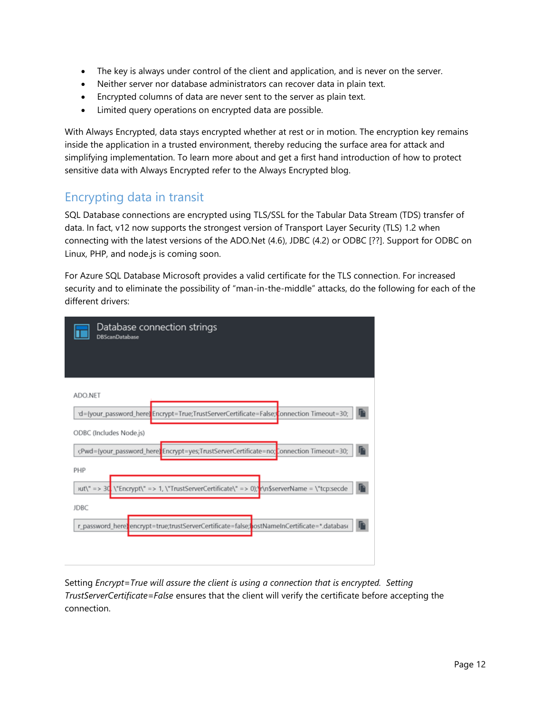- The key is always under control of the client and application, and is never on the server.
- Neither server nor database administrators can recover data in plain text.
- Encrypted columns of data are never sent to the server as plain text.
- Limited query operations on encrypted data are possible.

With Always Encrypted, data stays encrypted whether at rest or in motion. The encryption key remains inside the application in a trusted environment, thereby reducing the surface area for attack and simplifying implementation. To learn more about and get a first hand introduction of how to protect sensitive data with Always Encrypted refer to the Always Encrypted blog.

### <span id="page-11-0"></span>Encrypting data in transit

SQL Database connections are encrypted using TLS/SSL for the Tabular Data Stream (TDS) transfer of data. In fact, v12 now supports the strongest version of Transport Layer Security (TLS) 1.2 when connecting with the latest versions of the ADO.Net (4.6), JDBC (4.2) or ODBC [??]. Support for ODBC on Linux, PHP, and node.js is coming soon.

For Azure SQL Database Microsoft provides a valid certificate for the TLS connection. For increased security and to eliminate the possibility of "man-in-the-middle" attacks, do the following for each of the different drivers:

| Database connection strings<br><b>DBScanDatabase</b>                                                               |
|--------------------------------------------------------------------------------------------------------------------|
|                                                                                                                    |
| ADO.NET                                                                                                            |
| d={your_password_here}Encrypt=True;TrustServerCertificate=False; connection Timeout=30;                            |
| ODBC (Includes Node.js)                                                                                            |
| ;Pwd={your_password_here <mark>}</mark> Encrypt=yes;TrustServerCertificate=no; <mark>Eonnection Timeout=30;</mark> |
| PHP                                                                                                                |
| œ<br>ut\" => 30. \"Encrypt\" => 1, \"TrustServerCertificate\" => 0);"r\n\$serverName = \"tcp:secde                 |
| <b>JDBC</b>                                                                                                        |
| r_password_here) <mark>:</mark> encrypt=true;trustServerCertificate=false;bostNameInCertificate=*.database         |

Setting *Encrypt=True will assure the client is using a connection that is encrypted. Setting TrustServerCertificate=False* ensures that the client will verify the certificate before accepting the connection.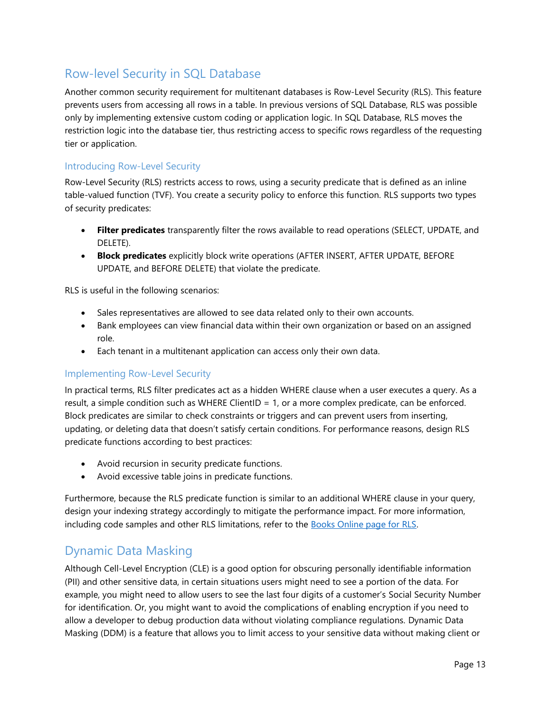## <span id="page-12-0"></span>Row-level Security in SQL Database

Another common security requirement for multitenant databases is Row-Level Security (RLS). This feature prevents users from accessing all rows in a table. In previous versions of SQL Database, RLS was possible only by implementing extensive custom coding or application logic. In SQL Database, RLS moves the restriction logic into the database tier, thus restricting access to specific rows regardless of the requesting tier or application.

#### <span id="page-12-1"></span>Introducing Row-Level Security

Row-Level Security (RLS) restricts access to rows, using a security predicate that is defined as an inline table-valued function (TVF). You create a security policy to enforce this function. RLS supports two types of security predicates:

- **Filter predicates** transparently filter the rows available to read operations (SELECT, UPDATE, and DELETE).
- **Block predicates** explicitly block write operations (AFTER INSERT, AFTER UPDATE, BEFORE UPDATE, and BEFORE DELETE) that violate the predicate.

RLS is useful in the following scenarios:

- Sales representatives are allowed to see data related only to their own accounts.
- Bank employees can view financial data within their own organization or based on an assigned role.
- Each tenant in a multitenant application can access only their own data.

#### <span id="page-12-2"></span>Implementing Row-Level Security

In practical terms, RLS filter predicates act as a hidden WHERE clause when a user executes a query. As a result, a simple condition such as WHERE ClientID = 1, or a more complex predicate, can be enforced. Block predicates are similar to check constraints or triggers and can prevent users from inserting, updating, or deleting data that doesn't satisfy certain conditions. For performance reasons, design RLS predicate functions according to best practices:

- Avoid recursion in security predicate functions.
- Avoid excessive table joins in predicate functions.

Furthermore, because the RLS predicate function is similar to an additional WHERE clause in your query, design your indexing strategy accordingly to mitigate the performance impact. For more information, including code samples and other RLS limitations, refer to the **Books Online page for RLS**.

### <span id="page-12-3"></span>Dynamic Data Masking

Although Cell-Level Encryption (CLE) is a good option for obscuring personally identifiable information (PII) and other sensitive data, in certain situations users might need to see a portion of the data. For example, you might need to allow users to see the last four digits of a customer's Social Security Number for identification. Or, you might want to avoid the complications of enabling encryption if you need to allow a developer to debug production data without violating compliance regulations. Dynamic Data Masking (DDM) is a feature that allows you to limit access to your sensitive data without making client or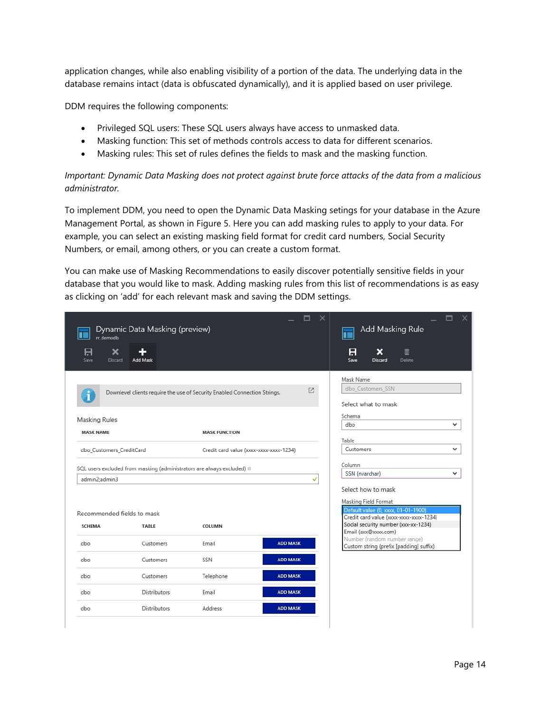application changes, while also enabling visibility of a portion of the data. The underlying data in the database remains intact (data is obfuscated dynamically), and it is applied based on user privilege.

DDM requires the following components:

- Privileged SQL users: These SQL users always have access to unmasked data.
- Masking function: This set of methods controls access to data for different scenarios.
- Masking rules: This set of rules defines the fields to mask and the masking function.

*Important: Dynamic Data Masking does not protect against brute force attacks of the data from a malicious administrator.*

To implement DDM, you need to open the Dynamic Data Masking setings for your database in the Azure Management Portal, as shown in Figure 5. Here you can add masking rules to apply to your data. For example, you can select an existing masking field format for credit card numbers, Social Security Numbers, or email, among others, or you can create a custom format.

You can make use of Masking Recommendations to easily discover potentially sensitive fields in your database that you would like to mask. Adding masking rules from this list of recommendations is as easy as clicking on 'add' for each relevant mask and saving the DDM settings.

| rr demodb                                                           | Dynamic Data Masking (preview) |                                                                           |                 | Add Masking Rule                                                               |
|---------------------------------------------------------------------|--------------------------------|---------------------------------------------------------------------------|-----------------|--------------------------------------------------------------------------------|
| A<br>×<br>Save<br>Discard                                           | ÷<br>Add Mask                  |                                                                           |                 | A<br>×<br>面<br>Save<br>Delete<br>Discard                                       |
|                                                                     |                                |                                                                           |                 | Mask Name                                                                      |
|                                                                     |                                | Downlevel clients require the use of Security Enabled Connection Strings. | Z               | dbo_Customers_SSN<br>Select what to mask                                       |
|                                                                     |                                |                                                                           |                 | Schema                                                                         |
| Masking Rules                                                       |                                |                                                                           |                 | dbo<br>v                                                                       |
| <b>MASK NAME</b>                                                    |                                | <b>MASK FUNCTION</b>                                                      |                 | Table                                                                          |
| dbo_Customers_CreditCard<br>Credit card value (xxxx-xxxx-xxxx-1234) |                                |                                                                           | Customers<br>◡  |                                                                                |
|                                                                     |                                | SQL users excluded from masking (administrators are always excluded) ®    |                 | Column                                                                         |
| admin2;admin3                                                       |                                |                                                                           | ✓               | SSN (nvarchar)<br>◡                                                            |
|                                                                     |                                |                                                                           |                 | Select how to mask                                                             |
|                                                                     |                                |                                                                           |                 | Masking Field Format                                                           |
| Recommended fields to mask                                          |                                |                                                                           |                 | Default value (0, xxxx, 01-01-1900)<br>Credit card value (xxxx-xxxx-xxxx-1234) |
| <b>SCHEMA</b>                                                       | <b>TABLE</b>                   | COLUMN                                                                    |                 | Social security number (xxx-xx-1234)                                           |
|                                                                     |                                |                                                                           |                 | Email (axx@xxxx.com)<br>Number (random number range)                           |
| dbo                                                                 | Customers                      | Email                                                                     | <b>ADD MASK</b> | Custom string (prefix [padding] suffix)                                        |
| dbo                                                                 | Customers                      | SSN                                                                       | <b>ADD MASK</b> |                                                                                |
| dbo                                                                 | Customers                      | Telephone                                                                 | <b>ADD MASK</b> |                                                                                |
| dbo                                                                 | <b>Distributors</b>            | Email                                                                     | <b>ADD MASK</b> |                                                                                |
| dbo                                                                 | <b>Distributors</b>            | Address                                                                   | <b>ADD MASK</b> |                                                                                |
|                                                                     |                                |                                                                           |                 |                                                                                |